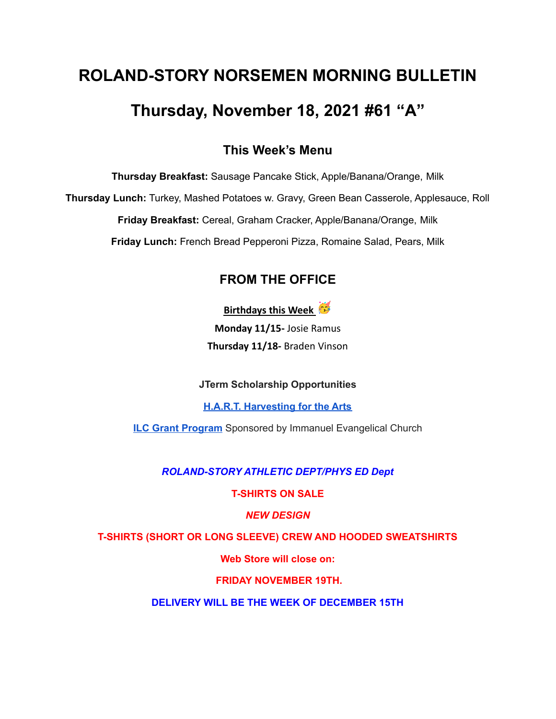# **ROLAND-STORY NORSEMEN MORNING BULLETIN Thursday, November 18, 2021 #61 "A"**

### **This Week's Menu**

**Thursday Breakfast:** Sausage Pancake Stick, Apple/Banana/Orange, Milk

**Thursday Lunch:** Turkey, Mashed Potatoes w. Gravy, Green Bean Casserole, Applesauce, Roll

**Friday Breakfast:** Cereal, Graham Cracker, Apple/Banana/Orange, Milk

**Friday Lunch:** French Bread Pepperoni Pizza, Romaine Salad, Pears, Milk

## **FROM THE OFFICE**

**Birthdays this Week**

**Monday 11/15-** Josie Ramus **Thursday 11/18-** Braden Vinson

**JTerm Scholarship Opportunities**

**H.A.R.T. [Harvesting](https://drive.google.com/file/d/11g4-lZB5o7SgG3y5R4Ux7ycNKvq857Rx/view?usp=sharing) for the Arts**

**ILC Grant [Program](https://docs.google.com/document/d/1b9DHMpZaVSj48gvRrAlQ3TA3HICpz-mx/edit?usp=sharing&ouid=114282091537110464265&rtpof=true&sd=true)** Sponsored by Immanuel Evangelical Church

*ROLAND-STORY ATHLETIC DEPT/PHYS ED Dept*

**T-SHIRTS ON SALE**

*NEW DESIGN*

**T-SHIRTS (SHORT OR LONG SLEEVE) CREW AND HOODED SWEATSHIRTS**

**Web Store will close on:**

**FRIDAY NOVEMBER 19TH.**

**DELIVERY WILL BE THE WEEK OF DECEMBER 15TH**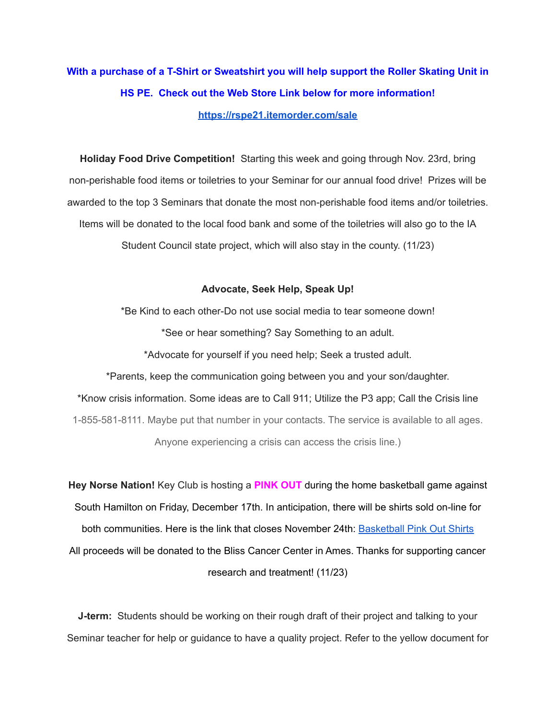# **With a purchase of a T-Shirt or Sweatshirt you will help support the Roller Skating Unit in HS PE. Check out the Web Store Link below for more information! <https://rspe21.itemorder.com/sale>**

**Holiday Food Drive Competition!** Starting this week and going through Nov. 23rd, bring non-perishable food items or toiletries to your Seminar for our annual food drive! Prizes will be awarded to the top 3 Seminars that donate the most non-perishable food items and/or toiletries. Items will be donated to the local food bank and some of the toiletries will also go to the IA Student Council state project, which will also stay in the county. (11/23)

#### **Advocate, Seek Help, Speak Up!**

\*Be Kind to each other-Do not use social media to tear someone down! \*See or hear something? Say Something to an adult. \*Advocate for yourself if you need help; Seek a trusted adult. \*Parents, keep the communication going between you and your son/daughter.

\*Know crisis information. Some ideas are to Call 911; Utilize the P3 app; Call the Crisis line 1-855-581-8111. Maybe put that number in your contacts. The service is available to all ages. Anyone experiencing a crisis can access the crisis line.)

**Hey Norse Nation!** Key Club is hosting a **PINK OUT** during the home basketball game against South Hamilton on Friday, December 17th. In anticipation, there will be shirts sold on-line for both communities. Here is the link that closes November 24th: [Basketball](https://rsshcvc21.itemorder.com/shop/sale/?saleCode=VJQ3K) Pink Out Shirts All proceeds will be donated to the Bliss Cancer Center in Ames. Thanks for supporting cancer research and treatment! (11/23)

**J-term:** Students should be working on their rough draft of their project and talking to your Seminar teacher for help or guidance to have a quality project. Refer to the yellow document for